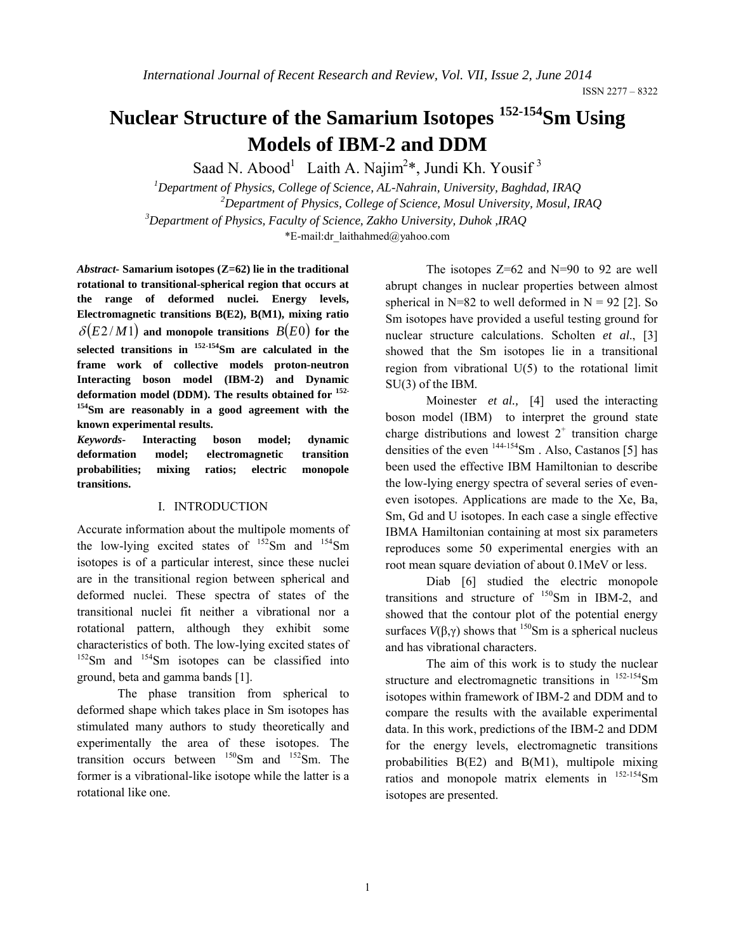# **Nuclear Structure of the Samarium Isotopes 152-154Sm Using Models of IBM-2 and DDM**

Saad N. Abood<sup>1</sup> Laith A. Najim<sup>2</sup>\*, Jundi Kh. Yousif<sup>3</sup>

*1 Department of Physics, College of Science, AL-Nahrain, University, Baghdad, IRAQ 2 Department of Physics, College of Science, Mosul University, Mosul, IRAQ <sup>3</sup> Department of Physics, Faculty of Science, Zakho University, Duhok ,IRAQ* \*E-mail:dr\_laithahmed@yahoo.com

*Abstract-* **Samarium isotopes (Z=62) lie in the traditional rotational to transitional-spherical region that occurs at the range of deformed nuclei. Energy levels, Electromagnetic transitions B(E2), B(M1), mixing ratio**   $\delta(E2/M1)$  and monopole transitions  $B(E0)$  for the **selected transitions in 152-154Sm are calculated in the frame work of collective models proton-neutron Interacting boson model (IBM-2) and Dynamic deformation model (DDM). The results obtained for 152- 154Sm are reasonably in a good agreement with the known experimental results.**

*Keywords***- Interacting boson model; dynamic deformation model; electromagnetic transition probabilities; mixing ratios; electric monopole transitions.**

## I. INTRODUCTION

Accurate information about the multipole moments of the low-lying excited states of  $^{152}$ Sm and  $^{154}$ Sm isotopes is of a particular interest, since these nuclei are in the transitional region between spherical and deformed nuclei. These spectra of states of the transitional nuclei fit neither a vibrational nor a rotational pattern, although they exhibit some characteristics of both. The low-lying excited states of  $152$ Sm and  $154$ Sm isotopes can be classified into ground, beta and gamma bands [1].

The phase transition from spherical to deformed shape which takes place in Sm isotopes has stimulated many authors to study theoretically and experimentally the area of these isotopes. The transition occurs between  $^{150}$ Sm and  $^{152}$ Sm. The former is a vibrational-like isotope while the latter is a rotational like one.

 The isotopes Z=62 and N=90 to 92 are well abrupt changes in nuclear properties between almost spherical in  $N=82$  to well deformed in  $N = 92$  [2]. So Sm isotopes have provided a useful testing ground for nuclear structure calculations. Scholten *et al*., [3] showed that the Sm isotopes lie in a transitional region from vibrational U(5) to the rotational limit SU(3) of the IBM.

Moinester *et al.,* [4] used the interacting boson model (IBM) to interpret the ground state charge distributions and lowest  $2^+$  transition charge densities of the even  $144-154$ Sm. Also, Castanos [5] has been used the effective IBM Hamiltonian to describe the low-lying energy spectra of several series of eveneven isotopes. Applications are made to the Xe, Ba, Sm, Gd and U isotopes. In each case a single effective IBMA Hamiltonian containing at most six parameters reproduces some 50 experimental energies with an root mean square deviation of about 0.1MeV or less.

Diab [6] studied the electric monopole transitions and structure of  $150$ Sm in IBM-2, and showed that the contour plot of the potential energy surfaces  $V(\beta, \gamma)$  shows that <sup>150</sup>Sm is a spherical nucleus and has vibrational characters.

The aim of this work is to study the nuclear structure and electromagnetic transitions in  $152-154$ Sm isotopes within framework of IBM-2 and DDM and to compare the results with the available experimental data. In this work, predictions of the IBM-2 and DDM for the energy levels, electromagnetic transitions probabilities B(E2) and B(M1), multipole mixing ratios and monopole matrix elements in  $^{152-154}$ Sm isotopes are presented.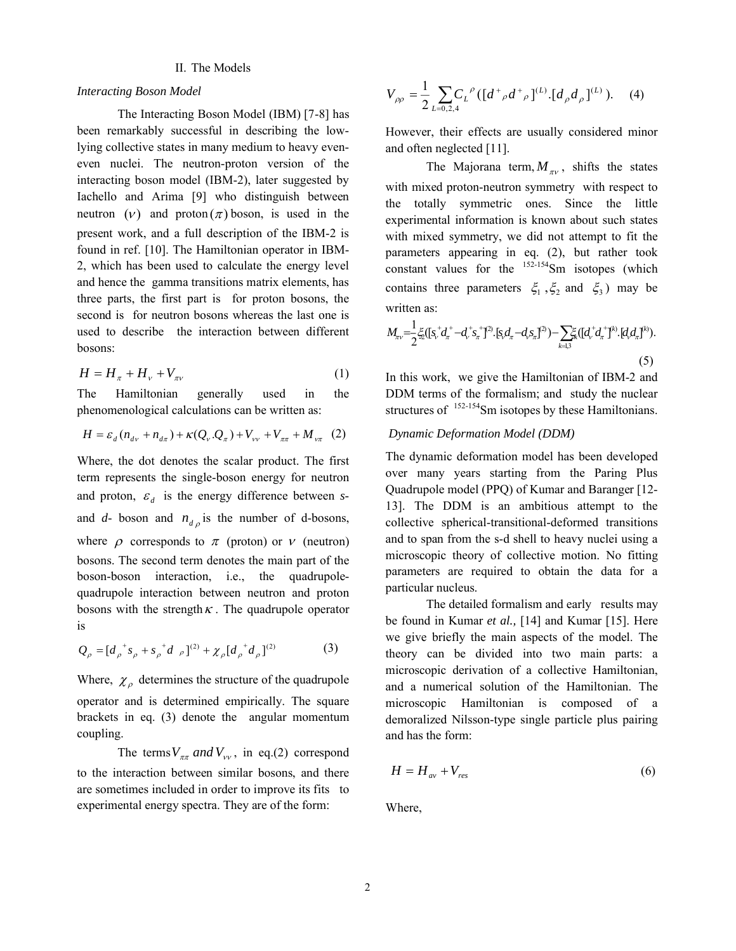# II. The Models

#### *Interacting Boson Model*

The Interacting Boson Model (IBM) [7-8] has been remarkably successful in describing the lowlying collective states in many medium to heavy eveneven nuclei. The neutron-proton version of the interacting boson model (IBM-2), later suggested by Iachello and Arima [9] who distinguish between neutron  $(v)$  and proton  $(\pi)$  boson, is used in the present work, and a full description of the IBM-2 is found in ref. [10]. The Hamiltonian operator in IBM-2, which has been used to calculate the energy level and hence the gamma transitions matrix elements, has three parts, the first part is for proton bosons, the second is for neutron bosons whereas the last one is used to describe the interaction between different bosons:

$$
H = H_{\pi} + H_{\nu} + V_{\pi\nu} \tag{1}
$$

The Hamiltonian generally used in the phenomenological calculations can be written as:

$$
H = \varepsilon_d (n_{d\nu} + n_{d\pi}) + \kappa (Q_\nu \cdot Q_\pi) + V_{\nu\nu} + V_{\pi\pi} + M_{\nu\pi} (2)
$$

Where, the dot denotes the scalar product. The first term represents the single-boson energy for neutron and proton,  $\varepsilon_d$  is the energy difference between *s*and  $d$ - boson and  $n_{d\rho}$  is the number of d-bosons, where  $\rho$  corresponds to  $\pi$  (proton) or  $\nu$  (neutron) bosons. The second term denotes the main part of the boson-boson interaction, i.e., the quadrupolequadrupole interaction between neutron and proton bosons with the strength  $\kappa$ . The quadrupole operator is

$$
Q_{\rho} = [d_{\rho}^{\ \ +} s_{\rho} + s_{\rho}^{\ \ +} d_{\rho}]^{(2)} + \chi_{\rho} [d_{\rho}^{\ \ +} d_{\rho}]^{(2)} \tag{3}
$$

Where,  $\chi_{\rho}$  determines the structure of the quadrupole operator and is determined empirically. The square brackets in eq. (3) denote the angular momentum coupling.

The terms  $V_{\pi\pi}$  and  $V_{\nu\nu}$ , in eq.(2) correspond to the interaction between similar bosons, and there are sometimes included in order to improve its fits to experimental energy spectra. They are of the form:

$$
V_{\rho\rho} = \frac{1}{2} \sum_{L=0,2,4} C_L^{\rho} \left( \left[ d^+_{\rho} d^+_{\rho} \right]^{(L)} \left[ d_{\rho} d_{\rho} \right]^{(L)} \right). \tag{4}
$$

However, their effects are usually considered minor and often neglected [11].

The Majorana term,  $M_{\pi\nu}$ , shifts the states with mixed proton-neutron symmetry with respect to the totally symmetric ones. Since the little experimental information is known about such states with mixed symmetry, we did not attempt to fit the parameters appearing in eq. (2), but rather took constant values for the 152-154Sm isotopes (which contains three parameters  $\xi_1$ ,  $\xi_2$  and  $\xi_3$ ) may be written as:

$$
M_{\pi\nu} = \frac{1}{2} \xi_2 ( [s_v^+ d_\pi^+ - d_v^+ s_\pi^+]^{2)} \cdot [s_v d_\pi - d_v s_\pi]^2 ) - \sum_{k=1,3} \xi_k ( [d_v^+ d_\pi^+]^{k)} \cdot [d_v d_\pi]^k ). \tag{5}
$$

In this work, we give the Hamiltonian of IBM-2 and DDM terms of the formalism; and study the nuclear structures of <sup>152-154</sup>Sm isotopes by these Hamiltonians.

# *Dynamic Deformation Model (DDM)*

The dynamic deformation model has been developed over many years starting from the Paring Plus Quadrupole model (PPQ) of Kumar and Baranger [12- 13]. The DDM is an ambitious attempt to the collective spherical-transitional-deformed transitions and to span from the s-d shell to heavy nuclei using a microscopic theory of collective motion. No fitting parameters are required to obtain the data for a particular nucleus.

The detailed formalism and early results may be found in Kumar *et al.,* [14] and Kumar [15]. Here we give briefly the main aspects of the model. The theory can be divided into two main parts: a microscopic derivation of a collective Hamiltonian, and a numerical solution of the Hamiltonian. The microscopic Hamiltonian is composed of a demoralized Nilsson-type single particle plus pairing and has the form:

$$
H = H_{av} + V_{res} \tag{6}
$$

Where,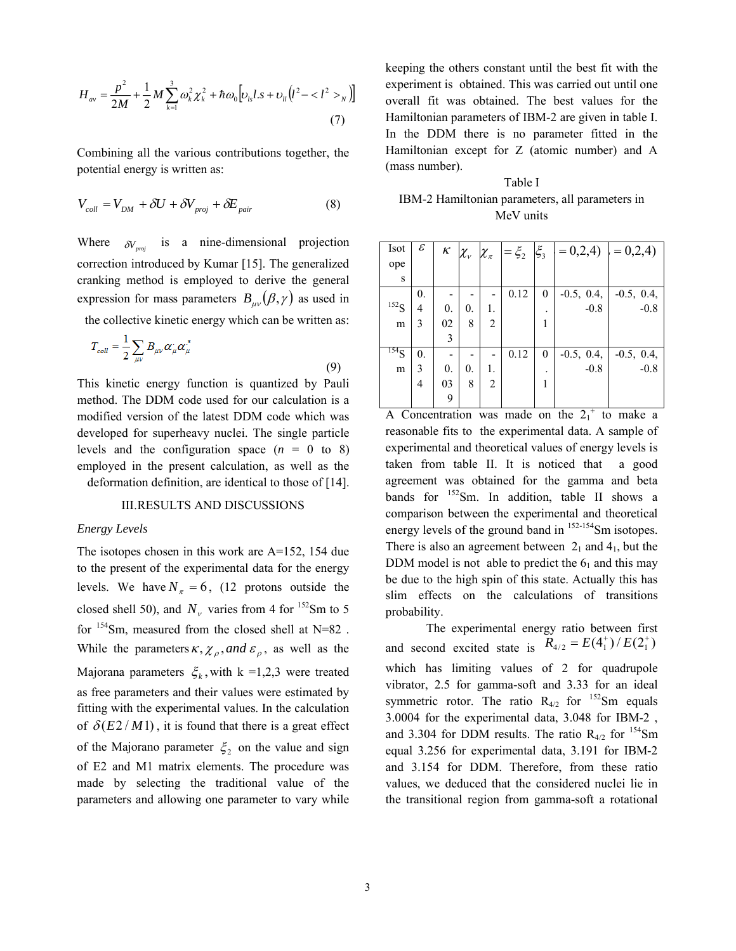$$
H_{av} = \frac{p^2}{2M} + \frac{1}{2}M\sum_{k=1}^{3}\omega_k^2 \chi_k^2 + \hbar \omega_0 \left[ v_{ls}l.s + v_{ll} (l^2 - _N) \right]
$$
\n(7)

Combining all the various contributions together, the potential energy is written as:

$$
V_{coll} = V_{DM} + \delta U + \delta V_{proj} + \delta E_{pair}
$$
 (8)

Where  $\delta V_{\text{proj}}$  is a nine-dimensional projection correction introduced by Kumar [15]. The generalized cranking method is employed to derive the general expression for mass parameters  $B_{\mu\nu}(\beta, \gamma)$  as used in

the collective kinetic energy which can be written as:

$$
T_{coll} = \frac{1}{2} \sum_{\mu\nu} B_{\mu\nu} \alpha_{\mu} \alpha_{\mu}^{*}
$$
\n(9)

This kinetic energy function is quantized by Pauli method. The DDM code used for our calculation is a modified version of the latest DDM code which was developed for superheavy nuclei. The single particle levels and the configuration space  $(n = 0 \text{ to } 8)$ employed in the present calculation, as well as the deformation definition, are identical to those of [14].

# III.RESULTS AND DISCUSSIONS

### *Energy Levels*

The isotopes chosen in this work are A=152, 154 due to the present of the experimental data for the energy levels. We have  $N_{\pi} = 6$ , (12 protons outside the closed shell 50), and  $N_v$  varies from 4 for <sup>152</sup>Sm to 5 for  $154$ Sm, measured from the closed shell at N=82. While the parameters  $\kappa$ ,  $\chi$ <sub>o</sub>, and  $\varepsilon$ <sub>o</sub>, as well as the Majorana parameters  $\xi_k$ , with k =1,2,3 were treated as free parameters and their values were estimated by fitting with the experimental values. In the calculation of  $\delta(E2/M1)$ , it is found that there is a great effect of the Majorano parameter  $\xi_2$  on the value and sign of E2 and M1 matrix elements. The procedure was made by selecting the traditional value of the parameters and allowing one parameter to vary while keeping the others constant until the best fit with the experiment is obtained. This was carried out until one overall fit was obtained. The best values for the Hamiltonian parameters of IBM-2 are given in table I. In the DDM there is no parameter fitted in the Hamiltonian except for Z (atomic number) and A (mass number).

Table I IBM-2 Hamiltonian parameters, all parameters in MeV units

| Isot             | $\mathcal E$ | κ                | $\chi_{_{V}}$ $\chi_{_{\pi}}$ |    | $=\xi_2$ | $\xi_3$ | $= 0.2, 4$ $= 0.2, 4$ |              |
|------------------|--------------|------------------|-------------------------------|----|----------|---------|-----------------------|--------------|
| ope              |              |                  |                               |    |          |         |                       |              |
| S                |              |                  |                               |    |          |         |                       |              |
|                  | 0.           |                  |                               |    | 0.12     | 0       | $-0.5, 0.4,$          | $-0.5, 0.4,$ |
| 152 <sub>S</sub> | 4            | $\overline{0}$ . | 0.                            | 1. |          |         | $-0.8$                | $-0.8$       |
| m                | 3            | 02               | 8                             | 2  |          |         |                       |              |
|                  |              | 3                |                               |    |          |         |                       |              |
| $^{154}S$        | 0.           |                  |                               |    | 0.12     | 0       | $-0.5, 0.4,$          | $-0.5, 0.4,$ |
| m                | 3            | $\overline{0}$ . | 0.                            | 1. |          |         | $-0.8$                | $-0.8$       |
|                  | 4            | 03               | 8                             | 2  |          | 1       |                       |              |
|                  |              | 9                |                               |    |          |         |                       |              |

A Concentration was made on the  $2_1^+$  to make a reasonable fits to the experimental data. A sample of experimental and theoretical values of energy levels is taken from table II. It is noticed that a good agreement was obtained for the gamma and beta bands for  $152$ Sm. In addition, table II shows a comparison between the experimental and theoretical energy levels of the ground band in  $152-154$ Sm isotopes. There is also an agreement between  $2<sub>1</sub>$  and  $4<sub>1</sub>$ , but the DDM model is not able to predict the  $6<sub>1</sub>$  and this may be due to the high spin of this state. Actually this has slim effects on the calculations of transitions probability.

The experimental energy ratio between first and second excited state is  $\overline{R}_{4/2} = E(4^{+}_{1}) / E(2^{+}_{1})$ which has limiting values of 2 for quadrupole vibrator, 2.5 for gamma-soft and 3.33 for an ideal symmetric rotor. The ratio  $R_{4/2}$  for  $152$ Sm equals 3.0004 for the experimental data, 3.048 for IBM-2 , and 3.304 for DDM results. The ratio  $R_{4/2}$  for  $^{154}$ Sm equal 3.256 for experimental data, 3.191 for IBM-2 and 3.154 for DDM. Therefore, from these ratio values, we deduced that the considered nuclei lie in the transitional region from gamma-soft a rotational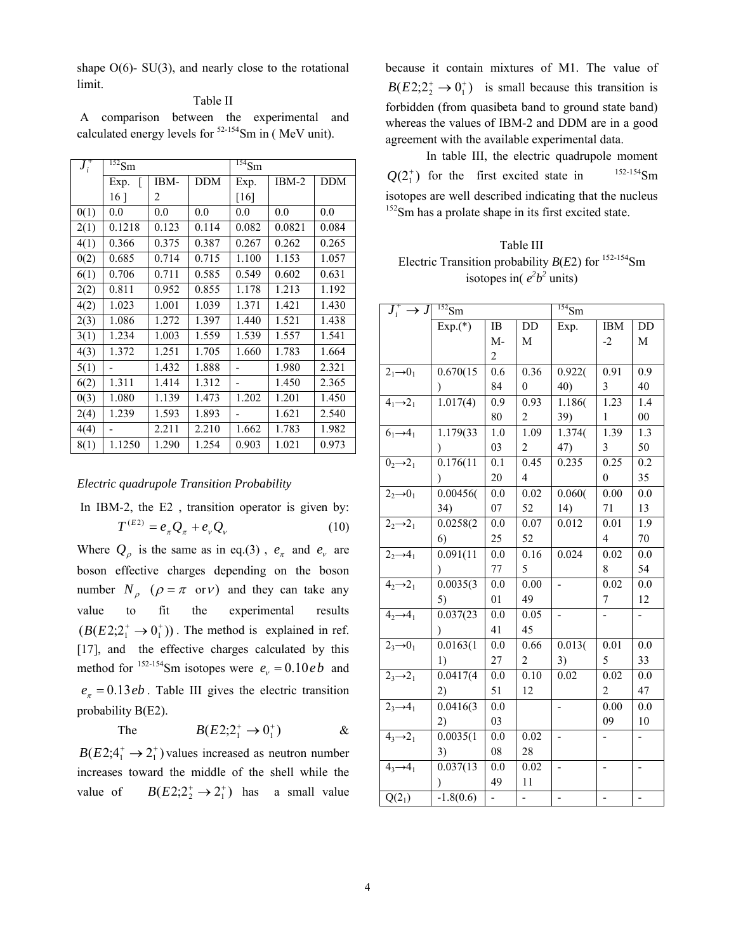shape  $O(6)$ - SU(3), and nearly close to the rotational limit.

## Table II

A comparison between the experimental and calculated energy levels for  $52-154$ Sm in (MeV unit).

| $J_i^\text{\tiny +}$ | $^{152}$ Sm     |       |            | $\overline{^{154}}\overline{Sm}$ |         |            |  |
|----------------------|-----------------|-------|------------|----------------------------------|---------|------------|--|
|                      | Exp.            | IBM-  | <b>DDM</b> | Exp.                             | $IBM-2$ | <b>DDM</b> |  |
|                      | 16 <sup>1</sup> | 2     |            | [16]                             |         |            |  |
| 0(1)                 | 0.0             | 0.0   | 0.0        | 0.0                              | 0.0     | 0.0        |  |
| 2(1)                 | 0.1218          | 0.123 | 0.114      | 0.082                            | 0.0821  | 0.084      |  |
| 4(1)                 | 0.366           | 0.375 | 0.387      | 0.267                            | 0.262   | 0.265      |  |
| 0(2)                 | 0.685           | 0.714 | 0.715      | 1.100                            | 1.153   | 1.057      |  |
| 6(1)                 | 0.706           | 0.711 | 0.585      | 0.549                            | 0.602   | 0.631      |  |
| 2(2)                 | 0.811           | 0.952 | 0.855      | 1.178                            | 1.213   | 1.192      |  |
| 4(2)                 | 1.023           | 1.001 | 1.039      | 1.371                            | 1.421   | 1.430      |  |
| 2(3)                 | 1.086           | 1.272 | 1.397      | 1.440                            | 1.521   | 1.438      |  |
| 3(1)                 | 1.234           | 1.003 | 1.559      | 1.539                            | 1.557   | 1.541      |  |
| 4(3)                 | 1.372           | 1.251 | 1.705      | 1.660                            | 1.783   | 1.664      |  |
| 5(1)                 |                 | 1.432 | 1.888      |                                  | 1.980   | 2.321      |  |
| 6(2)                 | 1.311           | 1.414 | 1.312      |                                  | 1.450   | 2.365      |  |
| 0(3)                 | 1.080           | 1.139 | 1.473      | 1.202                            | 1.201   | 1.450      |  |
| 2(4)                 | 1.239           | 1.593 | 1.893      |                                  | 1.621   | 2.540      |  |
| 4(4)                 |                 | 2.211 | 2.210      | 1.662                            | 1.783   | 1.982      |  |
| 8(1)                 | 1.1250          | 1.290 | 1.254      | 0.903                            | 1.021   | 0.973      |  |

### *Electric quadrupole Transition Probability*

In IBM-2, the E2, transition operator is given by:  
\n
$$
T^{(E2)} = e_{\pi} Q_{\pi} + e_{\nu} Q_{\nu}
$$
\n(10)

Where  $Q_{\rho}$  is the same as in eq.(3),  $e_{\pi}$  and  $e_{\nu}$  are boson effective charges depending on the boson number  $N_a$  ( $\rho = \pi$  or v) and they can take any value to fit the experimental results  $(B(E2; 2^+_1 \rightarrow 0^+_1))$ . The method is explained in ref. [17], and the effective charges calculated by this method for <sup>152-154</sup>Sm isotopes were  $e_v = 0.10 e b$  and  $e_{\pi} = 0.13$  *eb* . Table III gives the electric transition probability B(E2).

The 
$$
B(E2; 2^+_1 \to 0^+_1)
$$
 &

 $B(E2; 4^+_1 \rightarrow 2^+_1)$  values increased as neutron number increases toward the middle of the shell while the value of  $B(E2; 2^+_2 \rightarrow 2^+_1)$  has a small value because it contain mixtures of M1. The value of  $B(E2; 2^+_2 \rightarrow 0^+_1)$  is small because this transition is forbidden (from quasibeta band to ground state band) whereas the values of IBM-2 and DDM are in a good agreement with the available experimental data.

In table III, the electric quadrupole moment  $Q(2^+ )$  for the first excited state in  $152-154$ Sm isotopes are well described indicating that the nucleus <sup>152</sup>Sm has a prolate shape in its first excited state.

Table III Electric Transition probability  $B(E2)$  for  $^{152-154}$ Sm isotopes in( $e^2b^2$  units)

| $J_i^+ \rightarrow J$           | $^{152}$ Sm            |      |                | $\frac{154}{5m}$             |                  |                  |
|---------------------------------|------------------------|------|----------------|------------------------------|------------------|------------------|
|                                 | $Exp.(*)$              | IB   | $\rm DD$       | Exp.                         | <b>IBM</b>       | DD               |
|                                 |                        | $M-$ | М              |                              | $-2$             | М                |
|                                 |                        | 2    |                |                              |                  |                  |
| $21\rightarrow 01$              | 0.670(15)              | 0.6  | 0.36           | 0.922(                       | 0.91             | 0.9              |
|                                 |                        | 84   | $\theta$       | 40)                          | 3                | 40               |
| $41\rightarrow 21$              | 1.017(4)               | 0.9  | 0.93           | 1.186(                       | 1.23             | 1.4              |
|                                 |                        | 80   | 2              | 39)                          | 1                | $00\,$           |
| $61 \rightarrow 41$             | 1.179(33)              | 1.0  | 1.09           | 1.374(                       | 1.39             | $\overline{1.3}$ |
|                                 |                        | 03   | $\overline{c}$ | 47)                          | 3                | 50               |
| $02\rightarrow 21$              | 0.176(11)              | 0.1  | 0.45           | 0.235                        | 0.25             | 0.2              |
|                                 | $\mathcal{F}$          | 20   | $\overline{4}$ |                              | $\boldsymbol{0}$ | 35               |
| $22\rightarrow 01$              | 0.00456(               | 0.0  | 0.02           | 0.060(                       | 0.00             | 0.0              |
|                                 | 34)                    | 07   | 52             | 14)                          | 71               | 13               |
| $22\rightarrow 21$              | 0.0258(2               | 0.0  | 0.07           | 0.012                        | 0.01             | 1.9              |
|                                 | 6)                     | 25   | 52             |                              | $\overline{4}$   | 70               |
| $22\rightarrow 41$              | $\overline{0.091(11)}$ | 0.0  | 0.16           | 0.024                        | 0.02             | 0.0              |
|                                 | $\mathcal{E}$          | 77   | 5              |                              | 8                | 54               |
| $\overline{4_2\rightarrow 2_1}$ | 0.0035(3)              | 0.0  | 0.00           |                              | 0.02             | 0.0              |
|                                 | 5)                     | 01   | 49             |                              | 7                | 12               |
| $42\rightarrow 41$              | 0.037(23)              | 0.0  | 0.05           |                              |                  |                  |
|                                 |                        | 41   | 45             |                              |                  |                  |
| $2,0_1$                         | 0.0163(1)              | 0.0  | 0.66           | 0.013(                       | 0.01             | 0.0              |
|                                 | 1)                     | 27   | 2              | 3)                           | 5                | 33               |
| $2_3 \rightarrow 2_1$           | 0.0417(4)              | 0.0  | 0.10           | 0.02                         | 0.02             | 0.0              |
|                                 | 2)                     | 51   | 12             |                              | $\overline{2}$   | 47               |
| $2_3 \rightarrow 4_1$           | 0.0416(3)              | 0.0  |                | $\qquad \qquad \blacksquare$ | 0.00             | 0.0              |
|                                 | 2)                     | 03   |                |                              | 09               | 10               |
| $4, -2$                         | 0.0035(1)              | 0.0  | 0.02           |                              |                  |                  |
|                                 | 3)                     | 08   | 28             |                              |                  |                  |
| $4, -4$                         | 0.037(13)              | 0.0  | 0.02           |                              |                  |                  |
|                                 |                        | 49   | $11\,$         |                              |                  |                  |
| $Q(2_1)$                        | $-1.8(0.6)$            |      |                |                              |                  |                  |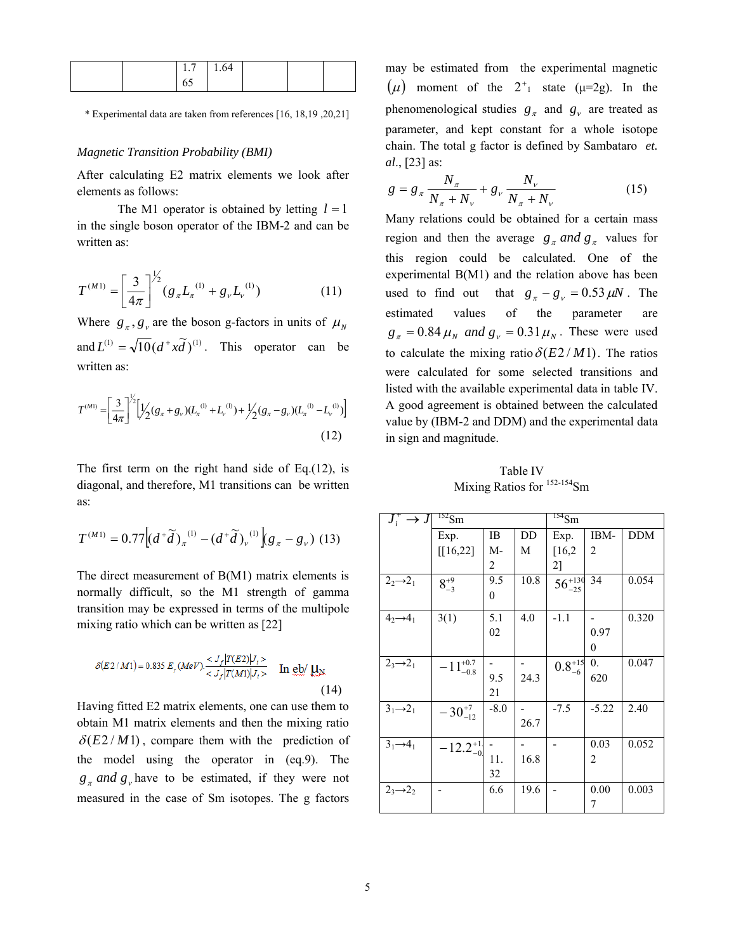|  | $1.7 \quad 1.64$ |  |  |
|--|------------------|--|--|
|  | 0.               |  |  |

\* Experimental data are taken from references [16, 18,19 ,20,21]

## *Magnetic Transition Probability (BMI)*

After calculating E2 matrix elements we look after elements as follows:

The M1 operator is obtained by letting  $l = 1$ in the single boson operator of the IBM-2 and can be written as:

$$
T^{(M1)} = \left[\frac{3}{4\pi}\right]^{1/2} (g_{\pi}L_{\pi}^{(1)} + g_{\nu}L_{\nu}^{(1)}) \tag{11}
$$

Where  $g_{\pi}$ ,  $g_{\nu}$  are the boson g-factors in units of  $\mu_{N}$ and  $L^{(1)} = \sqrt{10} (d^+ x \tilde{d})^{(1)}$ . This operator can be written as:

$$
T^{(M1)} = \left[\frac{3}{4\pi}\right]^{\frac{1}{2}} \left[\frac{1}{2}(g_{\pi} + g_{\nu})(L_{\pi}^{(1)} + L_{\nu}^{(1)}) + \frac{1}{2}(g_{\pi} - g_{\nu})(L_{\pi}^{(1)} - L_{\nu}^{(1)})\right]
$$
\n(12)

The first term on the right hand side of Eq.(12), is diagonal, and therefore, M1 transitions can be written as:

$$
T^{(M1)} = 0.77 \Big[ \left(d^+ \widetilde{d}\right)_{\pi}^{(1)} - \left(d^+ \widetilde{d}\right)_{\nu}^{(1)} \Big] g_{\pi} - g_{\nu}\big) \ (13)
$$

The direct measurement of B(M1) matrix elements is normally difficult, so the M1 strength of gamma transition may be expressed in terms of the multipole mixing ratio which can be written as [22]

$$
\delta(E2/M1) = 0.835 E_{\gamma} (MeV) \frac{}{} \quad \text{In} \text{ eb/ }\mu_{\text{N}} \tag{14}
$$

Having fitted E2 matrix elements, one can use them to obtain M1 matrix elements and then the mixing ratio  $\delta(E2/M1)$ , compare them with the prediction of the model using the operator in (eq.9). The  $g_{\pi}$  *and*  $g_{\nu}$  have to be estimated, if they were not measured in the case of Sm isotopes. The g factors may be estimated from the experimental magnetic  $(\mu)$  moment of the  $2^+$ <sub>1</sub> state ( $\mu$ =2g). In the phenomenological studies  $g_{\pi}$  and  $g_{\nu}$  are treated as parameter, and kept constant for a whole isotope chain. The total g factor is defined by Sambataro *et. al*., [23] as:

$$
g = g_{\pi} \frac{N_{\pi}}{N_{\pi} + N_{\nu}} + g_{\nu} \frac{N_{\nu}}{N_{\pi} + N_{\nu}}
$$
(15)

Many relations could be obtained for a certain mass region and then the average  $g<sub>x</sub>$  *and*  $g<sub>y</sub>$  values for this region could be calculated. One of the experimental B(M1) and the relation above has been used to find out that  $g_{\pi} - g_{v} = 0.53 \,\mu\text{N}$ . The estimated values of the parameter are  $g_{\pi} = 0.84 \mu_{N}$  *and*  $g_{V} = 0.31 \mu_{N}$ . These were used to calculate the mixing ratio  $\delta(E2/M1)$ . The ratios were calculated for some selected transitions and listed with the available experimental data in table IV. A good agreement is obtained between the calculated value by (IBM-2 and DDM) and the experimental data in sign and magnitude.

Table IV Mixing Ratios for  $152-154$ Sm

| $J_i^+ \rightarrow J$ | $^{152}Sm$          |        |      | $^{154}$ Sm       |                  |            |  |
|-----------------------|---------------------|--------|------|-------------------|------------------|------------|--|
|                       | Exp.                | IB     | DD   | Exp.              | IBM-             | <b>DDM</b> |  |
|                       | [[16, 22]           | M-     | M    | [16,2]            | 2                |            |  |
|                       |                     | 2      |      | 2]                |                  |            |  |
| $22\rightarrow 21$    | $8^{+9}_{-3}$       | 9.5    | 10.8 | $56^{+130}_{-25}$ | 34               | 0.054      |  |
|                       |                     | 0      |      |                   |                  |            |  |
| $4, \rightarrow 4$    | 3(1)                | 5.1    | 4.0  | $-1.1$            |                  | 0.320      |  |
|                       |                     | 02     |      |                   | 0.97             |            |  |
|                       |                     |        |      |                   | $\theta$         |            |  |
| $2_3 \rightarrow 2_1$ | $-11^{+0.7}_{-0.8}$ |        |      | $0.8^{+15}_{-6}$  | $\overline{0}$ . | 0.047      |  |
|                       |                     | 9.5    | 24.3 |                   | 620              |            |  |
|                       |                     | 21     |      |                   |                  |            |  |
| $31 \rightarrow 21$   | $-30^{+7}_{-12}$    | $-8.0$ |      | $-7.5$            | $-5.22$          | 2.40       |  |
|                       |                     |        | 26.7 |                   |                  |            |  |
| $31\rightarrow 41$    | $-12.2_{-0}^{+1}$   |        |      |                   | 0.03             | 0.052      |  |
|                       |                     | 11.    | 16.8 |                   | 2                |            |  |
|                       |                     | 32     |      |                   |                  |            |  |
| $2_3 \rightarrow 2_2$ |                     | 6.6    | 19.6 |                   | 0.00             | 0.003      |  |
|                       |                     |        |      |                   | 7                |            |  |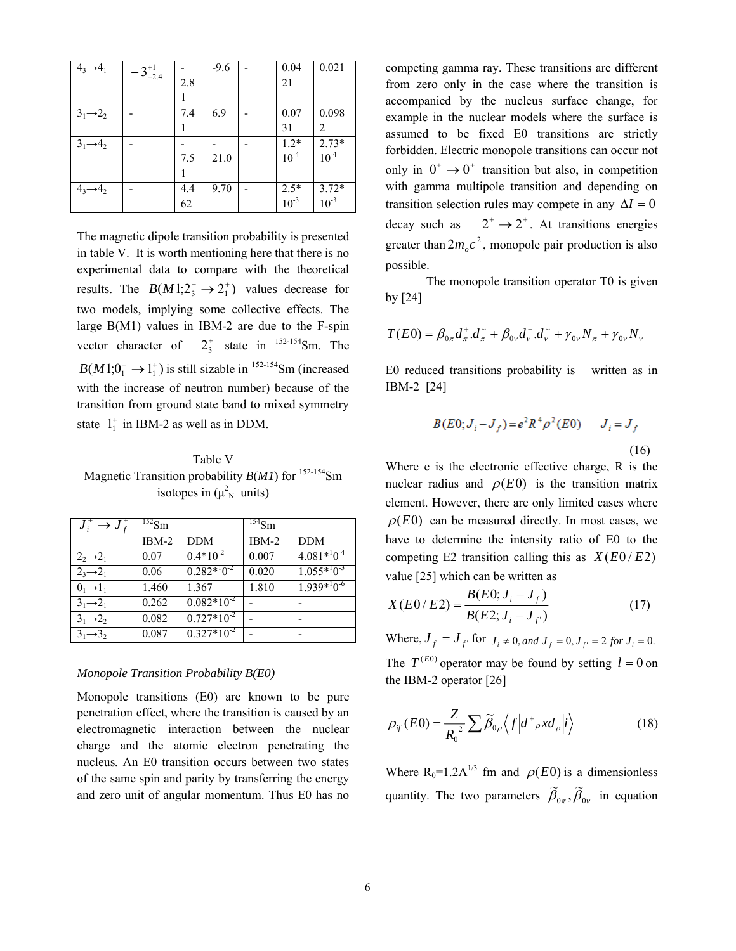| $4_3 \rightarrow 4_1$ | $-3^{+1}_{-2.4}$ |     | $-9.6$ | 0.04                | 0.021                |
|-----------------------|------------------|-----|--------|---------------------|----------------------|
|                       |                  | 2.8 |        | 21                  |                      |
|                       |                  |     |        |                     |                      |
| $31\rightarrow 22$    |                  | 7.4 | 6.9    | 0.07                | 0.098                |
|                       |                  |     |        | 31                  | 2                    |
| $3_1 \rightarrow 4_2$ |                  |     |        | $1.2*$<br>$10^{-4}$ | $2.73*$<br>$10^{-4}$ |
|                       |                  | 7.5 | 21.0   |                     |                      |
|                       |                  |     |        |                     |                      |
| $4_3 \rightarrow 4_2$ |                  | 4.4 | 9.70   | $2.5*$<br>$10^{-3}$ | $3.72*$<br>$10^{-3}$ |
|                       |                  | 62  |        |                     |                      |

The magnetic dipole transition probability is presented in table V. It is worth mentioning here that there is no experimental data to compare with the theoretical results. The  $B(M!; 2^+_3 \rightarrow 2^+_1)$  values decrease for two models, implying some collective effects. The large B(M1) values in IBM-2 are due to the F-spin vector character of  $2^+_3$  state in <sup>152-154</sup>Sm. The  $B(M1;0^+_1 \rightarrow 1^+_1)$  is still sizable in <sup>152-154</sup>Sm (increased with the increase of neutron number) because of the transition from ground state band to mixed symmetry state  $1<sub>1</sub><sup>+</sup>$  in IBM-2 as well as in DDM.

Table V Magnetic Transition probability *B*(*M1*) for <sup>152-154</sup>Sm isotopes in  $(\mu_{N}^{2}$  units)

| $J_i^* \rightarrow J_f^*$ | $^{152}$ Sm |                    | $^{154}Sm$ |                    |  |
|---------------------------|-------------|--------------------|------------|--------------------|--|
|                           | $IBM-2$     | <b>DDM</b>         | $IBM-2$    | <b>DDM</b>         |  |
| $22\rightarrow 21$        | 0.07        | $0.4*10^{-2}$      | 0.007      | $4.081*^{1}0^{-4}$ |  |
| $2_3 \rightarrow 2_1$     | 0.06        | $0.282*^{1}0^{-2}$ | 0.020      | $1.055*10^{-3}$    |  |
| $0_1 \rightarrow 1_1$     | 1.460       | 1.367              | 1.810      | $1.939*10^{-6}$    |  |
| $31 \rightarrow 21$       | 0.262       | $0.082*10^{-2}$    |            |                    |  |
| $31 \rightarrow 22$       | 0.082       | $0.727*10^{-2}$    |            |                    |  |
| $3_1 \rightarrow 3_2$     | 0.087       | $0.327*10^{-2}$    |            |                    |  |

# *Monopole Transition Probability B(E0)*

Monopole transitions (E0) are known to be pure penetration effect, where the transition is caused by an electromagnetic interaction between the nuclear charge and the atomic electron penetrating the nucleus. An E0 transition occurs between two states of the same spin and parity by transferring the energy and zero unit of angular momentum. Thus E0 has no competing gamma ray. These transitions are different from zero only in the case where the transition is accompanied by the nucleus surface change, for example in the nuclear models where the surface is assumed to be fixed E0 transitions are strictly forbidden. Electric monopole transitions can occur not only in  $0^+ \rightarrow 0^+$  transition but also, in competition with gamma multipole transition and depending on transition selection rules may compete in any  $\Delta I = 0$ decay such as  $2^+ \rightarrow 2^+$ . At transitions energies greater than  $2m_{\rho}c^2$ , monopole pair production is also possible.

The monopole transition operator T0 is given by [24]

$$
T(E0) = \beta_{0\pi} d^+_{\pi} d^-_{\pi} + \beta_{0\nu} d^+_{\nu} d^-_{\nu} + \gamma_{0\nu} N_{\pi} + \gamma_{0\nu} N_{\nu}
$$

E0 reduced transitions probability is written as in IBM-2 [24]

$$
B(E0; J_i - J_f) = e^2 R^4 \rho^2(E0) \qquad J_i = J_f
$$
\n(16)

Where e is the electronic effective charge, R is the nuclear radius and  $\rho(E0)$  is the transition matrix element. However, there are only limited cases where  $\rho(E0)$  can be measured directly. In most cases, we have to determine the intensity ratio of E0 to the competing E2 transition calling this as  $X(E0/E2)$ value [25] which can be written as

$$
X(E0/E2) = \frac{B(E0; J_i - J_f)}{B(E2; J_i - J_{f'})}
$$
(17)

Where,  $J_f = J_f$  for  $J_i \neq 0$ , and  $J_f = 0$ ,  $J_f = 2$  for  $J_i = 0$ . The  $T^{(E0)}$  operator may be found by setting  $l = 0$  on the IBM-2 operator [26]

$$
\rho_{if}(E0) = \frac{Z}{R_0^2} \sum \widetilde{\beta}_{0\rho} \left\langle f \left| d^+{}_{\rho} x d_{\rho} \right| i \right\rangle \tag{18}
$$

Where  $R_0=1.2A^{1/3}$  fm and  $\rho(E0)$  is a dimensionless quantity. The two parameters  $\tilde{\beta}_{0\pi}, \tilde{\beta}_{0\nu}$  in equation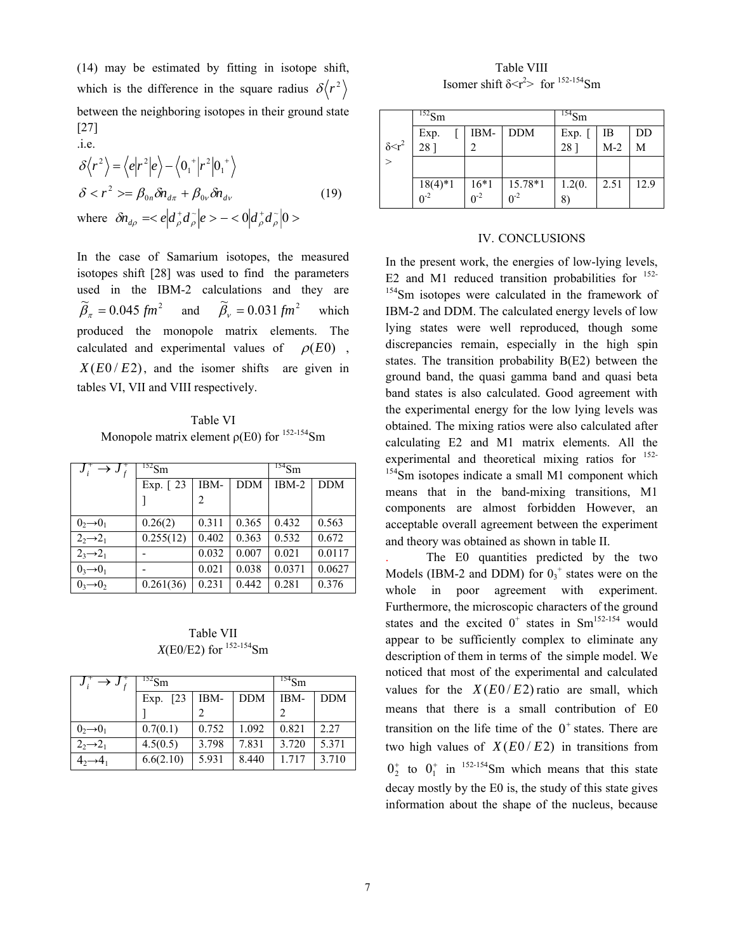(14) may be estimated by fitting in isotope shift, which is the difference in the square radius  $\delta \langle r^2 \rangle$ between the neighboring isotopes in their ground state [27] .i.e.

$$
\delta \langle r^2 \rangle = \langle e | r^2 | e \rangle - \langle 0_1^+ | r^2 | 0_1^+ \rangle
$$
  
\n
$$
\delta < r^2 > = \beta_{0n} \delta n_{d\pi} + \beta_{0\nu} \delta n_{d\nu}
$$
  
\nwhere  $\delta n_{d\rho} = \langle e | d_\rho^+ d_\rho^- | e \rangle - \langle 0 | d_\rho^+ d_\rho^- | 0 \rangle$  (19)

In the case of Samarium isotopes, the measured isotopes shift [28] was used to find the parameters used in the IBM-2 calculations and they are  $\widetilde{\beta}_r = 0.045$  fm<sup>2</sup>  $\widetilde{\beta}_\pi = 0.045$  *fm*<sup>2</sup> and  $\widetilde{\beta}_\nu = 0.031$  *fm*<sup>2</sup> which produced the monopole matrix elements. The calculated and experimental values of  $\rho(E0)$ ,  $X(E_0 / E_2)$ , and the isomer shifts are given in tables VI, VII and VIII respectively.

Table VI Monopole matrix element  $\rho$ (E0) for <sup>152-154</sup>Sm

| $J_i^* \rightarrow J_f^*$ | $^{152}$ Sm             |       | $^{154}$ Sm |         |            |
|---------------------------|-------------------------|-------|-------------|---------|------------|
|                           | Exp. $\lceil 23 \rceil$ | IBM-  | <b>DDM</b>  | $IBM-2$ | <b>DDM</b> |
|                           |                         | 2     |             |         |            |
| $0_2 \rightarrow 0_1$     | 0.26(2)                 | 0.311 | 0.365       | 0.432   | 0.563      |
| $22\rightarrow 21$        | 0.255(12)               | 0.402 | 0.363       | 0.532   | 0.672      |
| $2_3 \rightarrow 2_1$     |                         | 0.032 | 0.007       | 0.021   | 0.0117     |
| $0_3 \rightarrow 0_1$     |                         | 0.021 | 0.038       | 0.0371  | 0.0627     |
| $0, \rightarrow 0,$       | 0.261(36)               | 0.231 | 0.442       | 0.281   | 0.376      |

Table VII *X*(E0/E2) for  $^{152-154}$ Sm

| $J_i^{\tau} \rightarrow J_f$ | $^{152}Sm$ |       | $154$ Sm   |       |            |
|------------------------------|------------|-------|------------|-------|------------|
|                              | Exp. [23]  | IBM-  | <b>DDM</b> | IBM-  | <b>DDM</b> |
|                              |            |       |            |       |            |
| $0,0,0_1$                    | 0.7(0.1)   | 0.752 | 1.092      | 0.821 | 2.27       |
| $22\rightarrow 21$           | 4.5(0.5)   | 3.798 | 7.831      | 3.720 | 5.371      |
|                              | 6.6(2.10)  | 5.931 | 8.440      | 1.717 | 3.710      |

Table VIII Isomer shift  $\delta < r^2$  for  $152-154$  Sm

|                   | $^{152}$ Sm             |   |                                          | $^{154}$ Sm    |                   |      |
|-------------------|-------------------------|---|------------------------------------------|----------------|-------------------|------|
|                   |                         |   | IBM- DDM                                 | Exp. [<br>28 ] |                   | DD   |
| $\delta \leq r^2$ | Exp.<br>28 ]            | ↑ |                                          |                | $\frac{1}{1}$ M-2 | M    |
| $\rightarrow$     |                         |   |                                          |                |                   |      |
|                   |                         |   |                                          | 1.2(0.         | 2.51              | 12.9 |
|                   | $\frac{18(4)*1}{0^{2}}$ |   | $\frac{16*1}{0^2}$ $\frac{15.78*1}{0^2}$ | 8              |                   |      |

## IV. CONCLUSIONS

In the present work, the energies of low-lying levels, E2 and M1 reduced transition probabilities for  $152$ -<sup>154</sup>Sm isotopes were calculated in the framework of IBM-2 and DDM. The calculated energy levels of low lying states were well reproduced, though some discrepancies remain, especially in the high spin states. The transition probability B(E2) between the ground band, the quasi gamma band and quasi beta band states is also calculated. Good agreement with the experimental energy for the low lying levels was obtained. The mixing ratios were also calculated after calculating E2 and M1 matrix elements. All the experimental and theoretical mixing ratios for <sup>152-</sup> <sup>154</sup>Sm isotopes indicate a small M1 component which means that in the band-mixing transitions, M1 components are almost forbidden However, an acceptable overall agreement between the experiment and theory was obtained as shown in table II.

. The E0 quantities predicted by the two Models (IBM-2 and DDM) for  $0_3^+$  states were on the whole in poor agreement with experiment. Furthermore, the microscopic characters of the ground states and the excited  $0^+$  states in Sm<sup>152-154</sup> would appear to be sufficiently complex to eliminate any description of them in terms of the simple model. We noticed that most of the experimental and calculated values for the  $X(E0/E2)$  ratio are small, which means that there is a small contribution of E0 transition on the life time of the  $0^+$  states. There are two high values of  $X(E_0 / E_2)$  in transitions from  $0^{\dagger}$  to  $0^{\dagger}$  in <sup>152-154</sup>Sm which means that this state decay mostly by the E0 is, the study of this state gives information about the shape of the nucleus, because